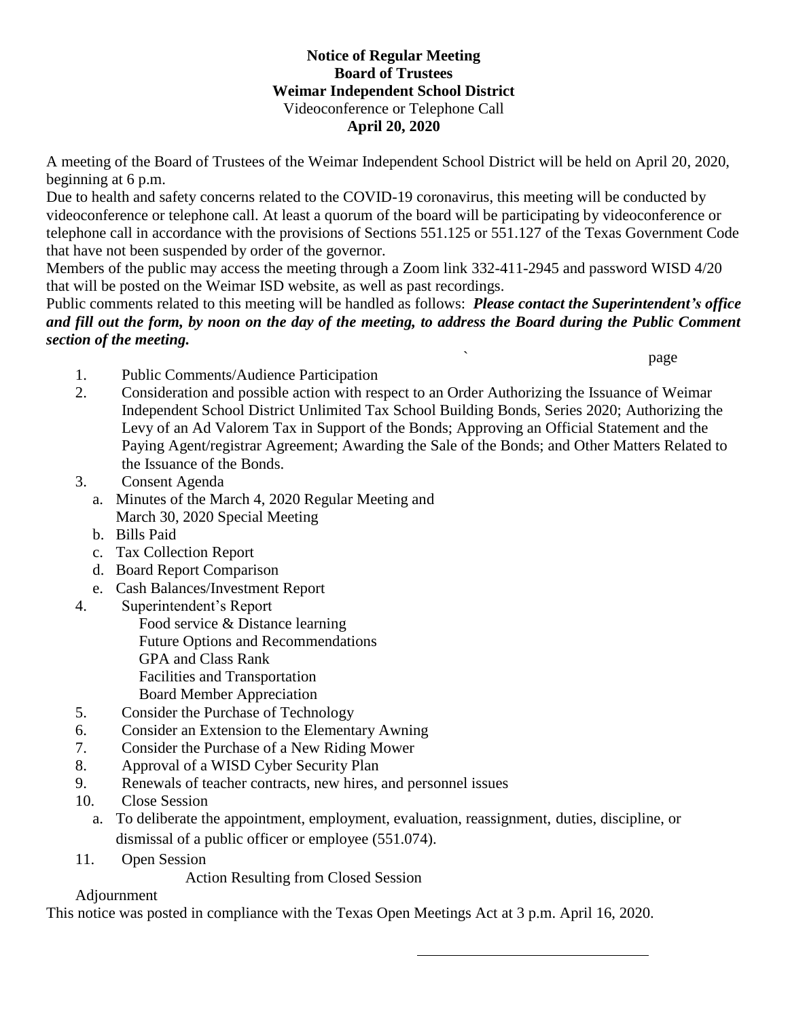## **Notice of Regular Meeting Board of Trustees Weimar Independent School District** Videoconference or Telephone Call **April 20, 2020**

A meeting of the Board of Trustees of the Weimar Independent School District will be held on April 20, 2020, beginning at 6 p.m.

Due to health and safety concerns related to the COVID-19 coronavirus, this meeting will be conducted by videoconference or telephone call. At least a quorum of the board will be participating by videoconference or telephone call in accordance with the provisions of Sections 551.125 or 551.127 of the Texas Government Code that have not been suspended by order of the governor.

Members of the public may access the meeting through a Zoom link 332-411-2945 and password WISD 4/20 that will be posted on the Weimar ISD website, as well as past recordings.

Public comments related to this meeting will be handled as follows: *Please contact the Superintendent's office and fill out the form, by noon on the day of the meeting, to address the Board during the Public Comment section of the meeting.*

` page

- 1. Public Comments/Audience Participation
- 2. Consideration and possible action with respect to an Order Authorizing the Issuance of Weimar Independent School District Unlimited Tax School Building Bonds, Series 2020; Authorizing the Levy of an Ad Valorem Tax in Support of the Bonds; Approving an Official Statement and the Paying Agent/registrar Agreement; Awarding the Sale of the Bonds; and Other Matters Related to the Issuance of the Bonds.
- 3. Consent Agenda
	- a. Minutes of the March 4, 2020 Regular Meeting and March 30, 2020 Special Meeting
	- b. Bills Paid
	- c. Tax Collection Report
	- d. Board Report Comparison
	- e. Cash Balances/Investment Report
- 4. Superintendent's Report Food service & Distance learning Future Options and Recommendations GPA and Class Rank Facilities and Transportation Board Member Appreciation
- 5. Consider the Purchase of Technology
- 6. Consider an Extension to the Elementary Awning
- 7. Consider the Purchase of a New Riding Mower
- 8. Approval of a WISD Cyber Security Plan
- 9. Renewals of teacher contracts, new hires, and personnel issues
- 10. Close Session
	- a. To deliberate the appointment, employment, evaluation, reassignment, duties, discipline, or dismissal of a public officer or employee (551.074).
- 11. Open Session
	- Action Resulting from Closed Session

## Adjournment

This notice was posted in compliance with the Texas Open Meetings Act at 3 p.m. April 16, 2020.